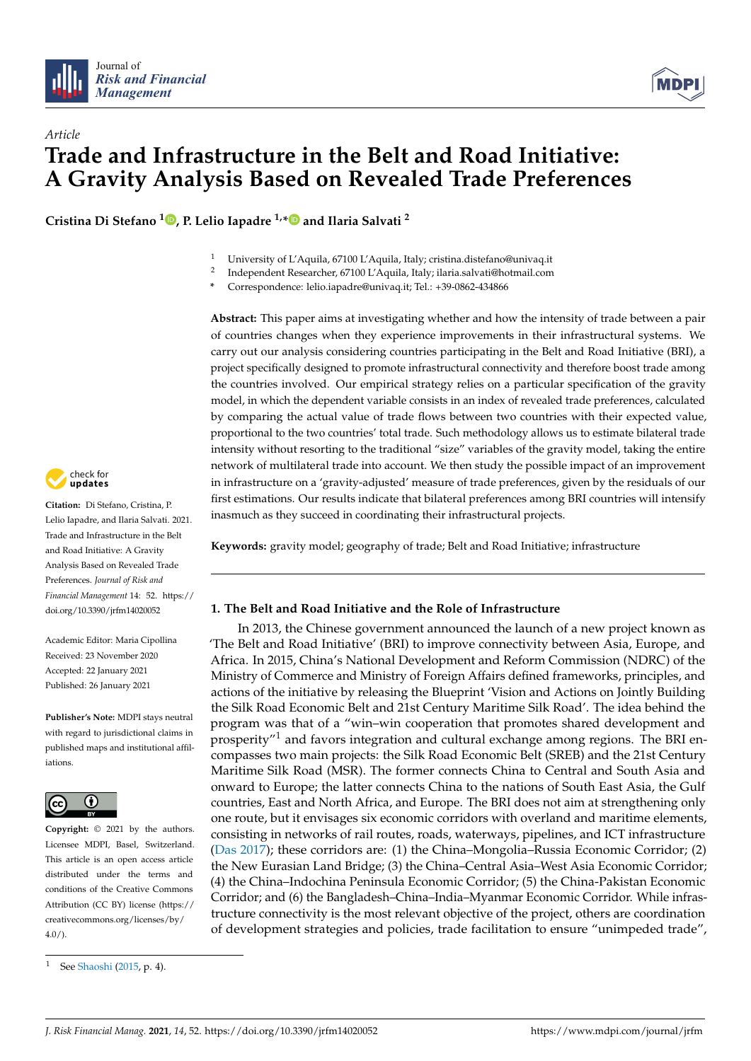



# *Article* **Trade and Infrastructure in the Belt and Road Initiative: A Gravity Analysis Based on Revealed Trade Preferences**

**Cristina Di Stefano <sup>1</sup> [,](https://orcid.org/0000-0002-1099-0613) P. Lelio Iapadre 1,[\\*](https://orcid.org/0000-0002-0690-1067) and Ilaria Salvati <sup>2</sup>**



- 2 Independent Researcher, 67100 L'Aquila, Italy; ilaria.salvati@hotmail.com
- **\*** Correspondence: lelio.iapadre@univaq.it; Tel.: +39-0862-434866

**Abstract:** This paper aims at investigating whether and how the intensity of trade between a pair of countries changes when they experience improvements in their infrastructural systems. We carry out our analysis considering countries participating in the Belt and Road Initiative (BRI), a project specifically designed to promote infrastructural connectivity and therefore boost trade among the countries involved. Our empirical strategy relies on a particular specification of the gravity model, in which the dependent variable consists in an index of revealed trade preferences, calculated by comparing the actual value of trade flows between two countries with their expected value, proportional to the two countries' total trade. Such methodology allows us to estimate bilateral trade intensity without resorting to the traditional "size" variables of the gravity model, taking the entire network of multilateral trade into account. We then study the possible impact of an improvement in infrastructure on a 'gravity-adjusted' measure of trade preferences, given by the residuals of our first estimations. Our results indicate that bilateral preferences among BRI countries will intensify inasmuch as they succeed in coordinating their infrastructural projects.

**Keywords:** gravity model; geography of trade; Belt and Road Initiative; infrastructure

## **1. The Belt and Road Initiative and the Role of Infrastructure**

In 2013, the Chinese government announced the launch of a new project known as 'The Belt and Road Initiative' (BRI) to improve connectivity between Asia, Europe, and Africa. In 2015, China's National Development and Reform Commission (NDRC) of the Ministry of Commerce and Ministry of Foreign Affairs defined frameworks, principles, and actions of the initiative by releasing the Blueprint 'Vision and Actions on Jointly Building the Silk Road Economic Belt and 21st Century Maritime Silk Road'. The idea behind the program was that of a "win–win cooperation that promotes shared development and prosperity"<sup>1</sup> and favors integration and cultural exchange among regions. The BRI encompasses two main projects: the Silk Road Economic Belt (SREB) and the 21st Century Maritime Silk Road (MSR). The former connects China to Central and South Asia and onward to Europe; the latter connects China to the nations of South East Asia, the Gulf countries, East and North Africa, and Europe. The BRI does not aim at strengthening only one route, but it envisages six economic corridors with overland and maritime elements, consisting in networks of rail routes, roads, waterways, pipelines, and ICT infrastructure [\(Das](#page-13-0) [2017\)](#page-13-0); these corridors are: (1) the China–Mongolia–Russia Economic Corridor; (2) the New Eurasian Land Bridge; (3) the China–Central Asia–West Asia Economic Corridor; (4) the China–Indochina Peninsula Economic Corridor; (5) the China-Pakistan Economic Corridor; and (6) the Bangladesh–China–India–Myanmar Economic Corridor. While infrastructure connectivity is the most relevant objective of the project, others are coordination of development strategies and policies, trade facilitation to ensure "unimpeded trade",



**Citation:** Di Stefano, Cristina, P. Lelio Iapadre, and Ilaria Salvati. 2021. Trade and Infrastructure in the Belt and Road Initiative: A Gravity Analysis Based on Revealed Trade Preferences. *Journal of Risk and Financial Management* 14: 52. [https://](https://doi.org/10.3390/jrfm14020052) [doi.org/10.3390/jrfm14020052](https://doi.org/10.3390/jrfm14020052)

Academic Editor: Maria Cipollina Received: 23 November 2020 Accepted: 22 January 2021 Published: 26 January 2021

**Publisher's Note:** MDPI stays neutral with regard to jurisdictional claims in published maps and institutional affiliations.



**Copyright:** © 2021 by the authors. Licensee MDPI, Basel, Switzerland. This article is an open access article distributed under the terms and conditions of the Creative Commons Attribution (CC BY) license (https:/[/](https://creativecommons.org/licenses/by/4.0/) [creativecommons.org/licenses/by/](https://creativecommons.org/licenses/by/4.0/)  $4.0/$ ).

<sup>1</sup> See [Shaoshi](#page-14-0) [\(2015,](#page-14-0) p. 4).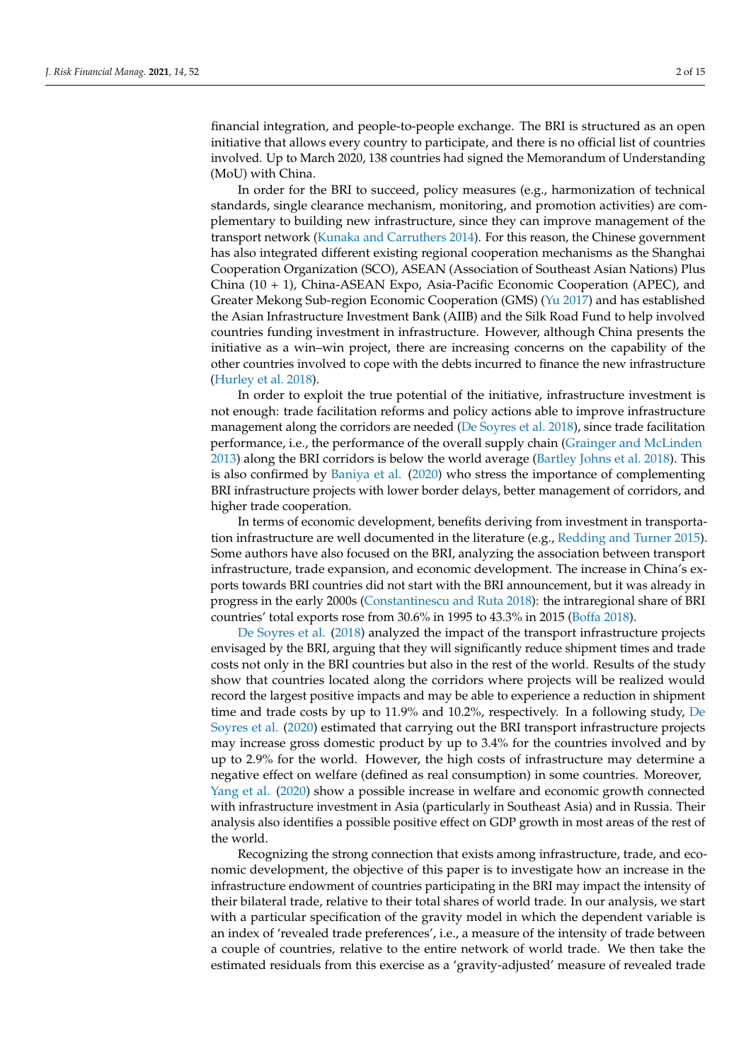financial integration, and people-to-people exchange. The BRI is structured as an open initiative that allows every country to participate, and there is no official list of countries involved. Up to March 2020, 138 countries had signed the Memorandum of Understanding (MoU) with China.

In order for the BRI to succeed, policy measures (e.g., harmonization of technical standards, single clearance mechanism, monitoring, and promotion activities) are complementary to building new infrastructure, since they can improve management of the transport network [\(Kunaka and Carruthers](#page-13-1) [2014\)](#page-13-1). For this reason, the Chinese government has also integrated different existing regional cooperation mechanisms as the Shanghai Cooperation Organization (SCO), ASEAN (Association of Southeast Asian Nations) Plus China (10 + 1), China-ASEAN Expo, Asia-Pacific Economic Cooperation (APEC), and Greater Mekong Sub-region Economic Cooperation (GMS) [\(Yu](#page-14-1) [2017\)](#page-14-1) and has established the Asian Infrastructure Investment Bank (AIIB) and the Silk Road Fund to help involved countries funding investment in infrastructure. However, although China presents the initiative as a win–win project, there are increasing concerns on the capability of the other countries involved to cope with the debts incurred to finance the new infrastructure [\(Hurley et al.](#page-13-2) [2018\)](#page-13-2).

In order to exploit the true potential of the initiative, infrastructure investment is not enough: trade facilitation reforms and policy actions able to improve infrastructure management along the corridors are needed [\(De Soyres et al.](#page-13-3) [2018\)](#page-13-3), since trade facilitation performance, i.e., the performance of the overall supply chain [\(Grainger and McLinden](#page-13-4) [2013\)](#page-13-4) along the BRI corridors is below the world average [\(Bartley Johns et al.](#page-13-5) [2018\)](#page-13-5). This is also confirmed by [Baniya et al.](#page-12-0) [\(2020\)](#page-12-0) who stress the importance of complementing BRI infrastructure projects with lower border delays, better management of corridors, and higher trade cooperation.

In terms of economic development, benefits deriving from investment in transportation infrastructure are well documented in the literature (e.g., [Redding and Turner](#page-14-2) [2015\)](#page-14-2). Some authors have also focused on the BRI, analyzing the association between transport infrastructure, trade expansion, and economic development. The increase in China's exports towards BRI countries did not start with the BRI announcement, but it was already in progress in the early 2000s [\(Constantinescu and Ruta](#page-13-6) [2018\)](#page-13-6): the intraregional share of BRI countries' total exports rose from 30.6% in 1995 to 43.3% in 2015 [\(Boffa](#page-13-7) [2018\)](#page-13-7).

[De Soyres et al.](#page-13-3) [\(2018\)](#page-13-3) analyzed the impact of the transport infrastructure projects envisaged by the BRI, arguing that they will significantly reduce shipment times and trade costs not only in the BRI countries but also in the rest of the world. Results of the study show that countries located along the corridors where projects will be realized would record the largest positive impacts and may be able to experience a reduction in shipment time and trade costs by up to 11.9% and 10.2%, respectively. In a following study, [De](#page-13-8) [Soyres et al.](#page-13-8) [\(2020\)](#page-13-8) estimated that carrying out the BRI transport infrastructure projects may increase gross domestic product by up to 3.4% for the countries involved and by up to 2.9% for the world. However, the high costs of infrastructure may determine a negative effect on welfare (defined as real consumption) in some countries. Moreover, [Yang et al.](#page-14-3) [\(2020\)](#page-14-3) show a possible increase in welfare and economic growth connected with infrastructure investment in Asia (particularly in Southeast Asia) and in Russia. Their analysis also identifies a possible positive effect on GDP growth in most areas of the rest of the world.

Recognizing the strong connection that exists among infrastructure, trade, and economic development, the objective of this paper is to investigate how an increase in the infrastructure endowment of countries participating in the BRI may impact the intensity of their bilateral trade, relative to their total shares of world trade. In our analysis, we start with a particular specification of the gravity model in which the dependent variable is an index of 'revealed trade preferences', i.e., a measure of the intensity of trade between a couple of countries, relative to the entire network of world trade. We then take the estimated residuals from this exercise as a 'gravity-adjusted' measure of revealed trade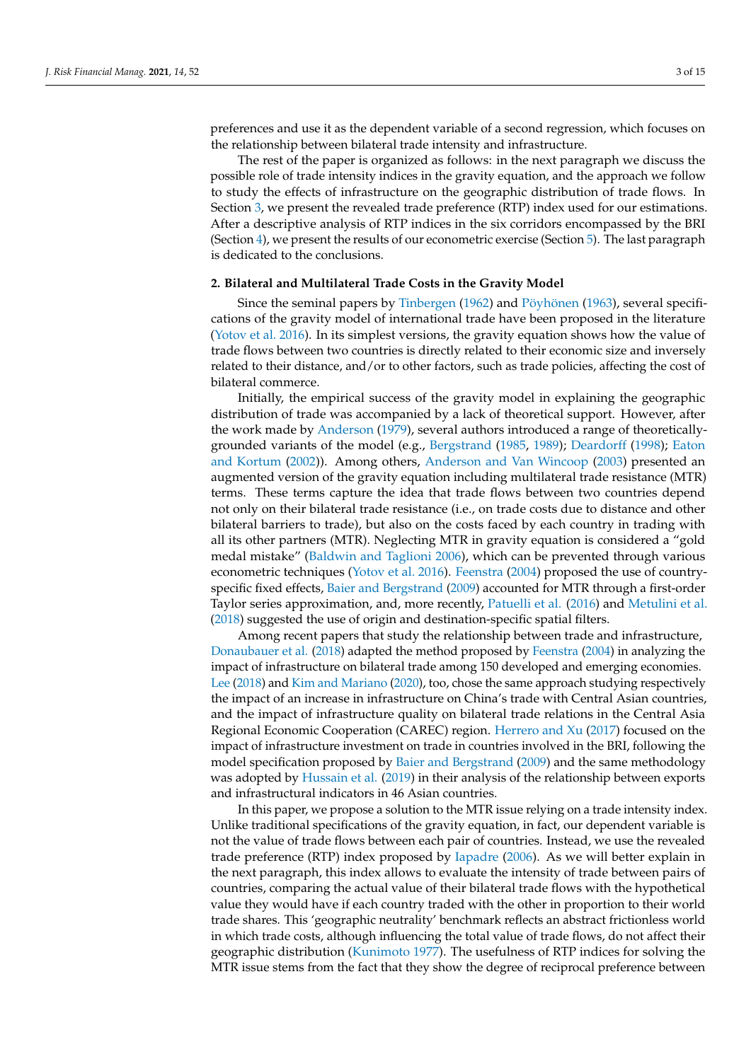preferences and use it as the dependent variable of a second regression, which focuses on the relationship between bilateral trade intensity and infrastructure.

The rest of the paper is organized as follows: in the next paragraph we discuss the possible role of trade intensity indices in the gravity equation, and the approach we follow to study the effects of infrastructure on the geographic distribution of trade flows. In Section [3,](#page-4-0) we present the revealed trade preference (RTP) index used for our estimations. After a descriptive analysis of RTP indices in the six corridors encompassed by the BRI (Section [4\)](#page-5-0), we present the results of our econometric exercise (Section [5\)](#page-8-0). The last paragraph is dedicated to the conclusions.

#### **2. Bilateral and Multilateral Trade Costs in the Gravity Model**

Since the seminal papers by [Tinbergen](#page-14-4) [\(1962\)](#page-14-4) and [Pöyhönen](#page-14-5) [\(1963\)](#page-14-5), several specifications of the gravity model of international trade have been proposed in the literature [\(Yotov et al.](#page-14-6) [2016\)](#page-14-6). In its simplest versions, the gravity equation shows how the value of trade flows between two countries is directly related to their economic size and inversely related to their distance, and/or to other factors, such as trade policies, affecting the cost of bilateral commerce.

Initially, the empirical success of the gravity model in explaining the geographic distribution of trade was accompanied by a lack of theoretical support. However, after the work made by [Anderson](#page-12-1) [\(1979\)](#page-12-1), several authors introduced a range of theoreticallygrounded variants of the model (e.g., [Bergstrand](#page-13-9) [\(1985,](#page-13-9) [1989\)](#page-13-10); [Deardorff](#page-13-11) [\(1998\)](#page-13-11); [Eaton](#page-13-12) [and Kortum](#page-13-12) [\(2002\)](#page-13-12)). Among others, [Anderson and Van Wincoop](#page-12-2) [\(2003\)](#page-12-2) presented an augmented version of the gravity equation including multilateral trade resistance (MTR) terms. These terms capture the idea that trade flows between two countries depend not only on their bilateral trade resistance (i.e., on trade costs due to distance and other bilateral barriers to trade), but also on the costs faced by each country in trading with all its other partners (MTR). Neglecting MTR in gravity equation is considered a "gold medal mistake" [\(Baldwin and Taglioni](#page-12-3) [2006\)](#page-12-3), which can be prevented through various econometric techniques [\(Yotov et al.](#page-14-6) [2016\)](#page-14-6). [Feenstra](#page-13-13) [\(2004\)](#page-13-13) proposed the use of countryspecific fixed effects, [Baier and Bergstrand](#page-12-4) [\(2009\)](#page-12-4) accounted for MTR through a first-order Taylor series approximation, and, more recently, [Patuelli et al.](#page-13-14) [\(2016\)](#page-13-14) and [Metulini et al.](#page-13-15) [\(2018\)](#page-13-15) suggested the use of origin and destination-specific spatial filters.

Among recent papers that study the relationship between trade and infrastructure, [Donaubauer et al.](#page-13-16) [\(2018\)](#page-13-16) adapted the method proposed by [Feenstra](#page-13-13) [\(2004\)](#page-13-13) in analyzing the impact of infrastructure on bilateral trade among 150 developed and emerging economies. [Lee](#page-13-17) [\(2018\)](#page-13-17) and [Kim and Mariano](#page-13-18) [\(2020\)](#page-13-18), too, chose the same approach studying respectively the impact of an increase in infrastructure on China's trade with Central Asian countries, and the impact of infrastructure quality on bilateral trade relations in the Central Asia Regional Economic Cooperation (CAREC) region. [Herrero and Xu](#page-13-19) [\(2017\)](#page-13-19) focused on the impact of infrastructure investment on trade in countries involved in the BRI, following the model specification proposed by [Baier and Bergstrand](#page-12-4) [\(2009\)](#page-12-4) and the same methodology was adopted by [Hussain et al.](#page-13-20) [\(2019\)](#page-13-20) in their analysis of the relationship between exports and infrastructural indicators in 46 Asian countries.

In this paper, we propose a solution to the MTR issue relying on a trade intensity index. Unlike traditional specifications of the gravity equation, in fact, our dependent variable is not the value of trade flows between each pair of countries. Instead, we use the revealed trade preference (RTP) index proposed by [Iapadre](#page-13-21) [\(2006\)](#page-13-21). As we will better explain in the next paragraph, this index allows to evaluate the intensity of trade between pairs of countries, comparing the actual value of their bilateral trade flows with the hypothetical value they would have if each country traded with the other in proportion to their world trade shares. This 'geographic neutrality' benchmark reflects an abstract frictionless world in which trade costs, although influencing the total value of trade flows, do not affect their geographic distribution [\(Kunimoto](#page-13-22) [1977\)](#page-13-22). The usefulness of RTP indices for solving the MTR issue stems from the fact that they show the degree of reciprocal preference between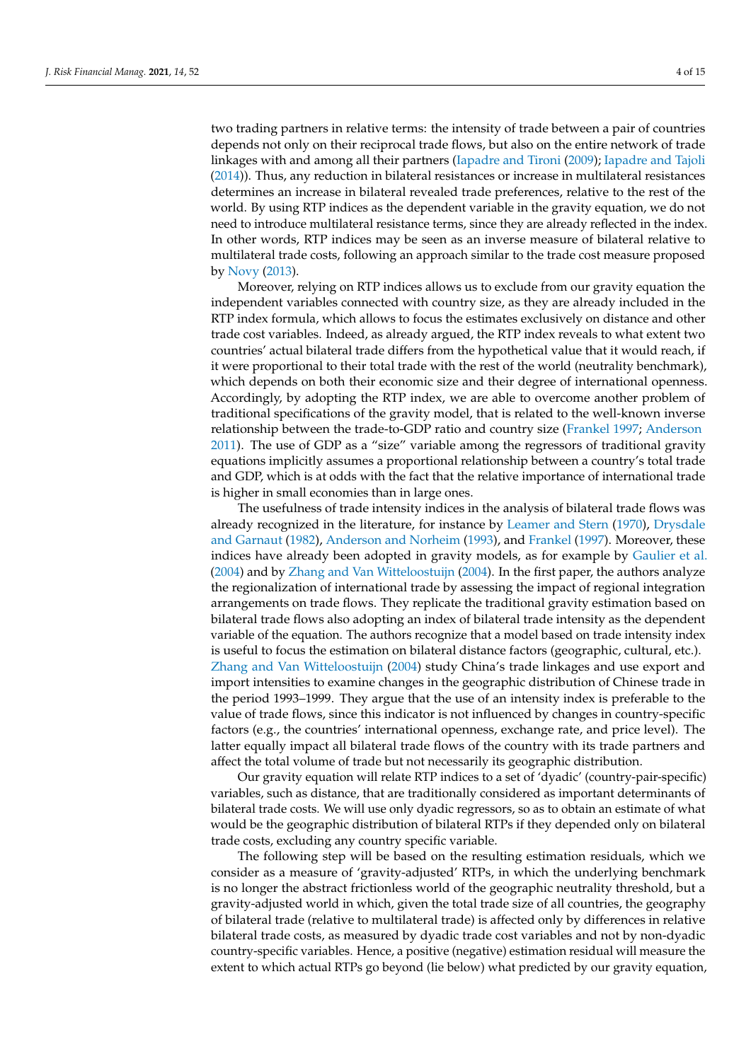two trading partners in relative terms: the intensity of trade between a pair of countries depends not only on their reciprocal trade flows, but also on the entire network of trade linkages with and among all their partners [\(Iapadre and Tironi](#page-13-23) [\(2009\)](#page-13-23); [Iapadre and Tajoli](#page-13-24) [\(2014\)](#page-13-24)). Thus, any reduction in bilateral resistances or increase in multilateral resistances determines an increase in bilateral revealed trade preferences, relative to the rest of the world. By using RTP indices as the dependent variable in the gravity equation, we do not need to introduce multilateral resistance terms, since they are already reflected in the index. In other words, RTP indices may be seen as an inverse measure of bilateral relative to multilateral trade costs, following an approach similar to the trade cost measure proposed by [Novy](#page-13-25) [\(2013\)](#page-13-25).

Moreover, relying on RTP indices allows us to exclude from our gravity equation the independent variables connected with country size, as they are already included in the RTP index formula, which allows to focus the estimates exclusively on distance and other trade cost variables. Indeed, as already argued, the RTP index reveals to what extent two countries' actual bilateral trade differs from the hypothetical value that it would reach, if it were proportional to their total trade with the rest of the world (neutrality benchmark), which depends on both their economic size and their degree of international openness. Accordingly, by adopting the RTP index, we are able to overcome another problem of traditional specifications of the gravity model, that is related to the well-known inverse relationship between the trade-to-GDP ratio and country size [\(Frankel](#page-13-26) [1997;](#page-13-26) [Anderson](#page-12-5) [2011\)](#page-12-5). The use of GDP as a "size" variable among the regressors of traditional gravity equations implicitly assumes a proportional relationship between a country's total trade and GDP, which is at odds with the fact that the relative importance of international trade is higher in small economies than in large ones.

The usefulness of trade intensity indices in the analysis of bilateral trade flows was already recognized in the literature, for instance by [Leamer and Stern](#page-13-27) [\(1970\)](#page-13-27), [Drysdale](#page-13-28) [and Garnaut](#page-13-28) [\(1982\)](#page-13-28), [Anderson and Norheim](#page-12-6) [\(1993\)](#page-12-6), and [Frankel](#page-13-26) [\(1997\)](#page-13-26). Moreover, these indices have already been adopted in gravity models, as for example by [Gaulier et al.](#page-13-29) [\(2004\)](#page-13-29) and by [Zhang and Van Witteloostuijn](#page-14-7) [\(2004\)](#page-14-7). In the first paper, the authors analyze the regionalization of international trade by assessing the impact of regional integration arrangements on trade flows. They replicate the traditional gravity estimation based on bilateral trade flows also adopting an index of bilateral trade intensity as the dependent variable of the equation. The authors recognize that a model based on trade intensity index is useful to focus the estimation on bilateral distance factors (geographic, cultural, etc.). [Zhang and Van Witteloostuijn](#page-14-7) [\(2004\)](#page-14-7) study China's trade linkages and use export and import intensities to examine changes in the geographic distribution of Chinese trade in the period 1993–1999. They argue that the use of an intensity index is preferable to the value of trade flows, since this indicator is not influenced by changes in country-specific factors (e.g., the countries' international openness, exchange rate, and price level). The latter equally impact all bilateral trade flows of the country with its trade partners and affect the total volume of trade but not necessarily its geographic distribution.

Our gravity equation will relate RTP indices to a set of 'dyadic' (country-pair-specific) variables, such as distance, that are traditionally considered as important determinants of bilateral trade costs. We will use only dyadic regressors, so as to obtain an estimate of what would be the geographic distribution of bilateral RTPs if they depended only on bilateral trade costs, excluding any country specific variable.

The following step will be based on the resulting estimation residuals, which we consider as a measure of 'gravity-adjusted' RTPs, in which the underlying benchmark is no longer the abstract frictionless world of the geographic neutrality threshold, but a gravity-adjusted world in which, given the total trade size of all countries, the geography of bilateral trade (relative to multilateral trade) is affected only by differences in relative bilateral trade costs, as measured by dyadic trade cost variables and not by non-dyadic country-specific variables. Hence, a positive (negative) estimation residual will measure the extent to which actual RTPs go beyond (lie below) what predicted by our gravity equation,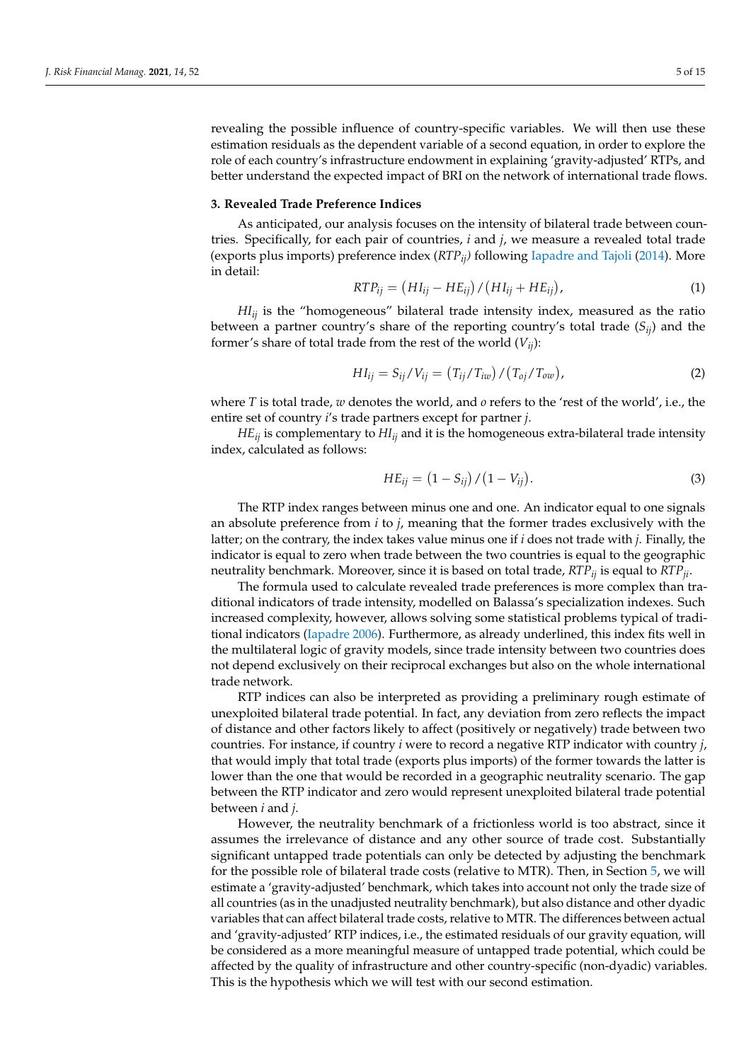revealing the possible influence of country-specific variables. We will then use these estimation residuals as the dependent variable of a second equation, in order to explore the role of each country's infrastructure endowment in explaining 'gravity-adjusted' RTPs, and better understand the expected impact of BRI on the network of international trade flows.

#### <span id="page-4-0"></span>**3. Revealed Trade Preference Indices**

As anticipated, our analysis focuses on the intensity of bilateral trade between countries. Specifically, for each pair of countries, *i* and *j*, we measure a revealed total trade (exports plus imports) preference index (*RTPij)* following [Iapadre and Tajoli](#page-13-24) [\(2014\)](#page-13-24). More in detail:

$$
RTP_{ij} = (HI_{ij} - HE_{ij}) / (HI_{ij} + HE_{ij}),
$$
\n(1)

*HIij* is the "homogeneous" bilateral trade intensity index, measured as the ratio between a partner country's share of the reporting country's total trade (*Sij*) and the former's share of total trade from the rest of the world  $(V_{ii})$ :

$$
HI_{ij} = S_{ij}/V_{ij} = (T_{ij}/T_{iw})/(T_{oj}/T_{ow}),
$$
\n(2)

where *T* is total trade, *w* denotes the world, and *o* refers to the 'rest of the world', i.e., the entire set of country *i*'s trade partners except for partner *j*.

 $HE_{ii}$  is complementary to  $H I_{ii}$  and it is the homogeneous extra-bilateral trade intensity index, calculated as follows:

$$
HE_{ij} = (1 - S_{ij}) / (1 - V_{ij}).
$$
\n(3)

The RTP index ranges between minus one and one. An indicator equal to one signals an absolute preference from *i* to *j*, meaning that the former trades exclusively with the latter; on the contrary, the index takes value minus one if *i* does not trade with *j*. Finally, the indicator is equal to zero when trade between the two countries is equal to the geographic neutrality benchmark. Moreover, since it is based on total trade, *RTPij* is equal to *RTPji*.

The formula used to calculate revealed trade preferences is more complex than traditional indicators of trade intensity, modelled on Balassa's specialization indexes. Such increased complexity, however, allows solving some statistical problems typical of traditional indicators [\(Iapadre](#page-13-21) [2006\)](#page-13-21). Furthermore, as already underlined, this index fits well in the multilateral logic of gravity models, since trade intensity between two countries does not depend exclusively on their reciprocal exchanges but also on the whole international trade network.

RTP indices can also be interpreted as providing a preliminary rough estimate of unexploited bilateral trade potential. In fact, any deviation from zero reflects the impact of distance and other factors likely to affect (positively or negatively) trade between two countries. For instance, if country *i* were to record a negative RTP indicator with country *j*, that would imply that total trade (exports plus imports) of the former towards the latter is lower than the one that would be recorded in a geographic neutrality scenario. The gap between the RTP indicator and zero would represent unexploited bilateral trade potential between *i* and *j*.

However, the neutrality benchmark of a frictionless world is too abstract, since it assumes the irrelevance of distance and any other source of trade cost. Substantially significant untapped trade potentials can only be detected by adjusting the benchmark for the possible role of bilateral trade costs (relative to MTR). Then, in Section [5,](#page-8-0) we will estimate a 'gravity-adjusted' benchmark, which takes into account not only the trade size of all countries (as in the unadjusted neutrality benchmark), but also distance and other dyadic variables that can affect bilateral trade costs, relative to MTR. The differences between actual and 'gravity-adjusted' RTP indices, i.e., the estimated residuals of our gravity equation, will be considered as a more meaningful measure of untapped trade potential, which could be affected by the quality of infrastructure and other country-specific (non-dyadic) variables. This is the hypothesis which we will test with our second estimation.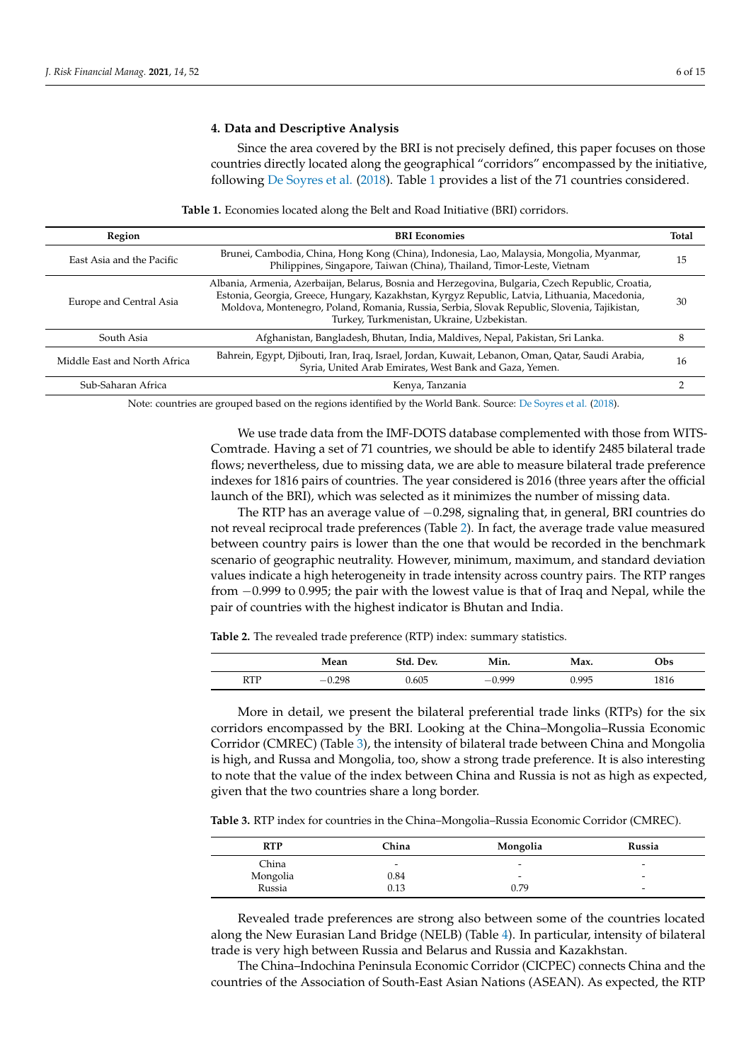## <span id="page-5-0"></span>**4. Data and Descriptive Analysis**

Since the area covered by the BRI is not precisely defined, this paper focuses on those countries directly located along the geographical "corridors" encompassed by the initiative, following [De Soyres et al.](#page-13-3) [\(2018\)](#page-13-3). Table [1](#page-5-1) provides a list of the 71 countries considered.

**Table 1.** Economies located along the Belt and Road Initiative (BRI) corridors.

<span id="page-5-1"></span>

| Region                       | <b>BRI</b> Economies                                                                                                                                                                                                                                                                                                                             | Total |
|------------------------------|--------------------------------------------------------------------------------------------------------------------------------------------------------------------------------------------------------------------------------------------------------------------------------------------------------------------------------------------------|-------|
| East Asia and the Pacific    | Brunei, Cambodia, China, Hong Kong (China), Indonesia, Lao, Malaysia, Mongolia, Myanmar,<br>Philippines, Singapore, Taiwan (China), Thailand, Timor-Leste, Vietnam                                                                                                                                                                               | 15    |
| Europe and Central Asia      | Albania, Armenia, Azerbaijan, Belarus, Bosnia and Herzegovina, Bulgaria, Czech Republic, Croatia,<br>Estonia, Georgia, Greece, Hungary, Kazakhstan, Kyrgyz Republic, Latvia, Lithuania, Macedonia,<br>Moldova, Montenegro, Poland, Romania, Russia, Serbia, Slovak Republic, Slovenia, Tajikistan,<br>Turkey, Turkmenistan, Ukraine, Uzbekistan. | 30    |
| South Asia                   | Afghanistan, Bangladesh, Bhutan, India, Maldives, Nepal, Pakistan, Sri Lanka.                                                                                                                                                                                                                                                                    | 8     |
| Middle East and North Africa | Bahrein, Egypt, Djibouti, Iran, Iraq, Israel, Jordan, Kuwait, Lebanon, Oman, Qatar, Saudi Arabia,<br>Syria, United Arab Emirates, West Bank and Gaza, Yemen.                                                                                                                                                                                     | 16    |
| Sub-Saharan Africa           | Kenya, Tanzania                                                                                                                                                                                                                                                                                                                                  |       |

Note: countries are grouped based on the regions identified by the World Bank. Source: [De Soyres et al.](#page-13-3) [\(2018\)](#page-13-3).

We use trade data from the IMF-DOTS database complemented with those from WITS-Comtrade. Having a set of 71 countries, we should be able to identify 2485 bilateral trade flows; nevertheless, due to missing data, we are able to measure bilateral trade preference indexes for 1816 pairs of countries. The year considered is 2016 (three years after the official launch of the BRI), which was selected as it minimizes the number of missing data.

The RTP has an average value of −0.298, signaling that, in general, BRI countries do not reveal reciprocal trade preferences (Table [2\)](#page-5-2). In fact, the average trade value measured between country pairs is lower than the one that would be recorded in the benchmark scenario of geographic neutrality. However, minimum, maximum, and standard deviation values indicate a high heterogeneity in trade intensity across country pairs. The RTP ranges from −0.999 to 0.995; the pair with the lowest value is that of Iraq and Nepal, while the pair of countries with the highest indicator is Bhutan and India.

<span id="page-5-2"></span>**Table 2.** The revealed trade preference (RTP) index: summary statistics.

|            | Mean  | )ev.  | Min. | Max.  | Obs  |
|------------|-------|-------|------|-------|------|
| <b>RTP</b> | 0.298 | 0.605 | 000  | 0.995 | 1816 |

More in detail, we present the bilateral preferential trade links (RTPs) for the six corridors encompassed by the BRI. Looking at the China–Mongolia–Russia Economic Corridor (CMREC) (Table [3\)](#page-5-3), the intensity of bilateral trade between China and Mongolia is high, and Russa and Mongolia, too, show a strong trade preference. It is also interesting to note that the value of the index between China and Russia is not as high as expected, given that the two countries share a long border.

<span id="page-5-3"></span>**Table 3.** RTP index for countries in the China–Mongolia–Russia Economic Corridor (CMREC).

| RTP      | China | Mongolia | Russia |
|----------|-------|----------|--------|
| China    | -     | -        | -      |
| Mongolia | 0.84  | -        | -      |
| Russia   | 0.13  | 0.79     | -      |

Revealed trade preferences are strong also between some of the countries located along the New Eurasian Land Bridge (NELB) (Table [4\)](#page-6-0). In particular, intensity of bilateral trade is very high between Russia and Belarus and Russia and Kazakhstan.

The China–Indochina Peninsula Economic Corridor (CICPEC) connects China and the countries of the Association of South-East Asian Nations (ASEAN). As expected, the RTP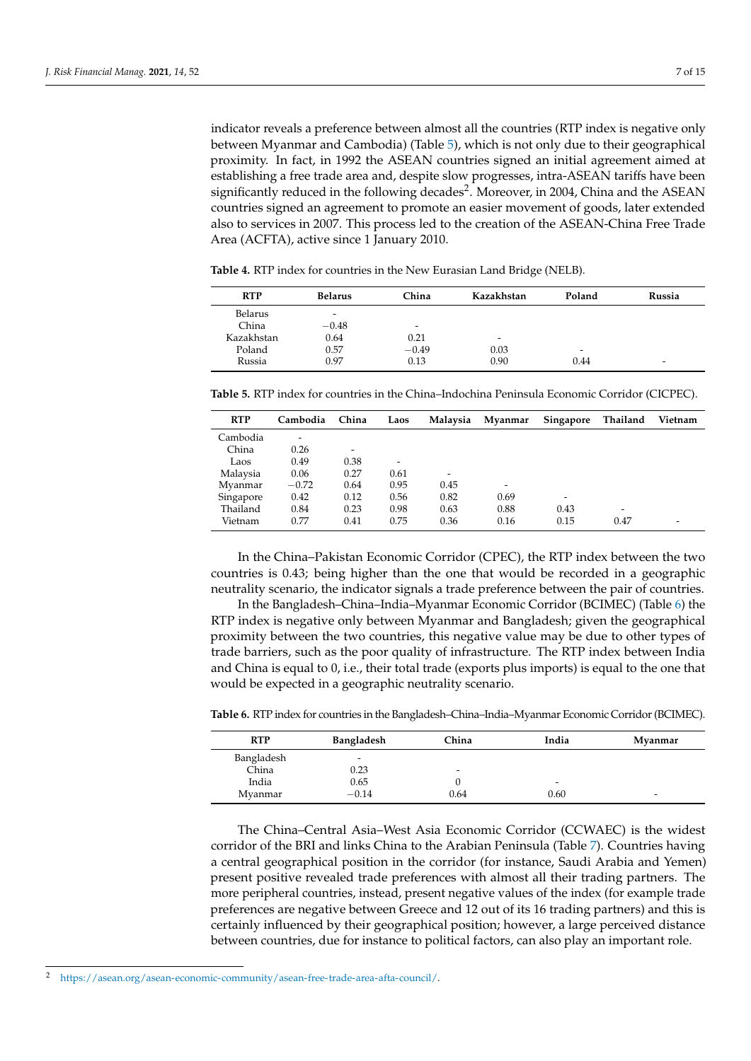indicator reveals a preference between almost all the countries (RTP index is negative only between Myanmar and Cambodia) (Table [5\)](#page-6-1), which is not only due to their geographical proximity. In fact, in 1992 the ASEAN countries signed an initial agreement aimed at establishing a free trade area and, despite slow progresses, intra-ASEAN tariffs have been significantly reduced in the following decades<sup>2</sup>. Moreover, in 2004, China and the ASEAN countries signed an agreement to promote an easier movement of goods, later extended also to services in 2007. This process led to the creation of the ASEAN-China Free Trade Area (ACFTA), active since 1 January 2010.

<span id="page-6-0"></span>**Table 4.** RTP index for countries in the New Eurasian Land Bridge (NELB).

| <b>RTP</b> | <b>Belarus</b>           | China                    | Kazakhstan               | Poland | Russia                   |
|------------|--------------------------|--------------------------|--------------------------|--------|--------------------------|
| Belarus    | $\overline{\phantom{0}}$ |                          |                          |        |                          |
| China      | $-0.48$                  | $\overline{\phantom{0}}$ |                          |        |                          |
| Kazakhstan | 0.64                     | 0.21                     | $\overline{\phantom{0}}$ |        |                          |
| Poland     | 0.57                     | $-0.49$                  | 0.03                     | -      |                          |
| Russia     | 0.97                     | 0.13                     | 0.90                     | 0.44   | $\overline{\phantom{0}}$ |

<span id="page-6-1"></span>**Table 5.** RTP index for countries in the China–Indochina Peninsula Economic Corridor (CICPEC).

| <b>RTP</b> | Cambodia | China | Laos | Malaysia | Myanmar | Singapore | Thailand                 | Vietnam |
|------------|----------|-------|------|----------|---------|-----------|--------------------------|---------|
| Cambodia   | -        |       |      |          |         |           |                          |         |
| China      | 0.26     | -     |      |          |         |           |                          |         |
| Laos       | 0.49     | 0.38  | -    |          |         |           |                          |         |
| Malaysia   | 0.06     | 0.27  | 0.61 | -        |         |           |                          |         |
| Mvanmar    | $-0.72$  | 0.64  | 0.95 | 0.45     | -       |           |                          |         |
| Singapore  | 0.42     | 0.12  | 0.56 | 0.82     | 0.69    | -         |                          |         |
| Thailand   | 0.84     | 0.23  | 0.98 | 0.63     | 0.88    | 0.43      | $\overline{\phantom{a}}$ |         |
| Vietnam    | 0.77     | 0.41  | 0.75 | 0.36     | 0.16    | 0.15      | 0.47                     |         |

In the China–Pakistan Economic Corridor (CPEC), the RTP index between the two countries is 0.43; being higher than the one that would be recorded in a geographic neutrality scenario, the indicator signals a trade preference between the pair of countries.

In the Bangladesh–China–India–Myanmar Economic Corridor (BCIMEC) (Table [6\)](#page-6-2) the RTP index is negative only between Myanmar and Bangladesh; given the geographical proximity between the two countries, this negative value may be due to other types of trade barriers, such as the poor quality of infrastructure. The RTP index between India and China is equal to 0, i.e., their total trade (exports plus imports) is equal to the one that would be expected in a geographic neutrality scenario.

<span id="page-6-2"></span>**Table 6.** RTP index for countries in the Bangladesh–China–India–Myanmar Economic Corridor (BCIMEC).

| <b>RTP</b> | Bangladesh               | China | India                    | Myanmar |
|------------|--------------------------|-------|--------------------------|---------|
| Bangladesh | $\overline{\phantom{0}}$ |       |                          |         |
| China      | 0.23                     | -     |                          |         |
| India      | 0.65                     |       | $\overline{\phantom{0}}$ |         |
| Myanmar    | $-0.14$                  | 0.64  | 0.60                     | -       |

The China–Central Asia–West Asia Economic Corridor (CCWAEC) is the widest corridor of the BRI and links China to the Arabian Peninsula (Table [7\)](#page-7-0). Countries having a central geographical position in the corridor (for instance, Saudi Arabia and Yemen) present positive revealed trade preferences with almost all their trading partners. The more peripheral countries, instead, present negative values of the index (for example trade preferences are negative between Greece and 12 out of its 16 trading partners) and this is certainly influenced by their geographical position; however, a large perceived distance between countries, due for instance to political factors, can also play an important role.

<sup>2</sup> [https://asean.org/asean-economic-community/asean-free-trade-area-afta-council/.](https://asean.org/asean-economic-community/asean-free-trade-area-afta-council/)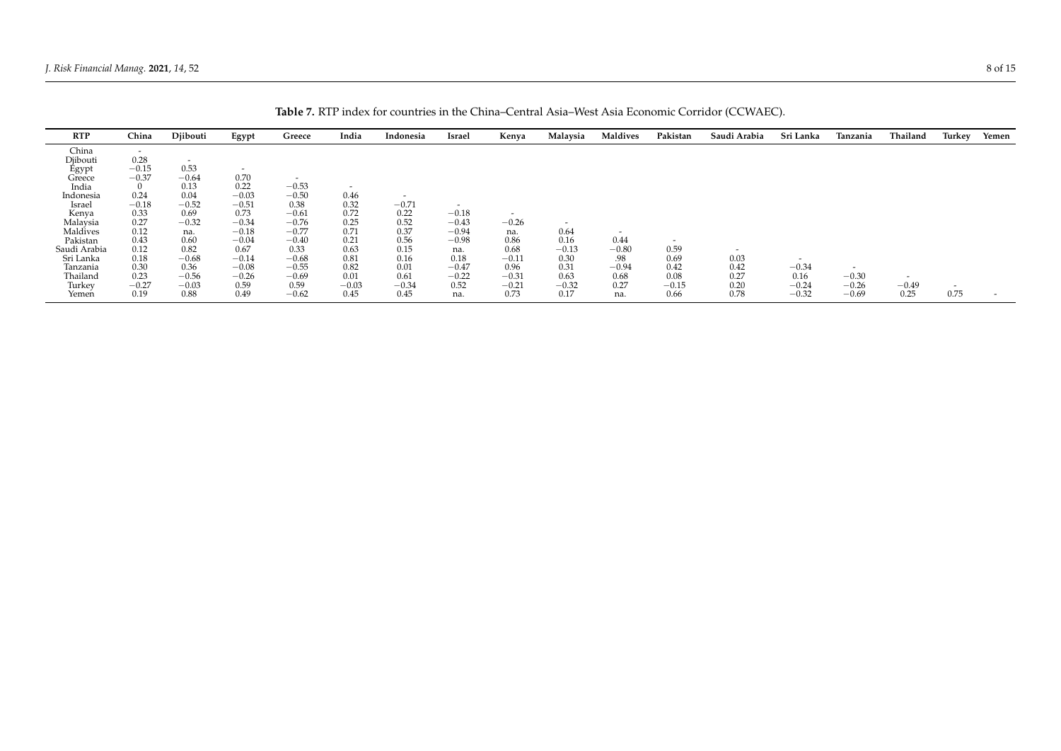<span id="page-7-0"></span>

| <b>RTP</b>        | China                    | Djibouti                 | Egypt                    | Greece                   | India                    | Indonesia                | Israel                   | Kenya   | Malaysia                 | <b>Maldives</b>          | Pakistan                 | Saudi Arabia             | Sri Lanka | Tanzania                 | Thailand                 | Turkey                   | Yemen  |
|-------------------|--------------------------|--------------------------|--------------------------|--------------------------|--------------------------|--------------------------|--------------------------|---------|--------------------------|--------------------------|--------------------------|--------------------------|-----------|--------------------------|--------------------------|--------------------------|--------|
| China             | $\overline{\phantom{0}}$ |                          |                          |                          |                          |                          |                          |         |                          |                          |                          |                          |           |                          |                          |                          |        |
| Djibouti          | 0.28                     | $\overline{\phantom{0}}$ |                          |                          |                          |                          |                          |         |                          |                          |                          |                          |           |                          |                          |                          |        |
|                   | $-0.15$                  | 0.53                     | $\overline{\phantom{0}}$ |                          |                          |                          |                          |         |                          |                          |                          |                          |           |                          |                          |                          |        |
| Egypt<br>Greece   | $-0.37$                  | $-0.64$                  | 0.70                     | $\overline{\phantom{0}}$ |                          |                          |                          |         |                          |                          |                          |                          |           |                          |                          |                          |        |
| India             |                          | 0.13                     | 0.22                     | $-0.53$                  | $\overline{\phantom{0}}$ |                          |                          |         |                          |                          |                          |                          |           |                          |                          |                          |        |
| Indonesia         | 0.24                     | 0.04                     | $-0.03$                  | $-0.50$                  | 0.46                     | $\overline{\phantom{0}}$ |                          |         |                          |                          |                          |                          |           |                          |                          |                          |        |
| Israel            | $-0.18$                  | $-0.52$                  | $-0.51$                  | 0.38                     | 0.32                     | $-0.71$                  | $\overline{\phantom{a}}$ |         |                          |                          |                          |                          |           |                          |                          |                          |        |
|                   | 0.33                     | 0.69                     | 0.73                     | $-0.61$                  | 0.72                     | 0.22                     | $-0.18$                  | $\sim$  |                          |                          |                          |                          |           |                          |                          |                          |        |
| Kenya<br>Malaysia | 0.27                     | $-0.32$                  | $-0.34$                  | $-0.76$                  | 0.25                     | 0.52                     | $-0.43$                  | $-0.26$ | $\overline{\phantom{0}}$ |                          |                          |                          |           |                          |                          |                          |        |
| Maldives          | 0.12                     | na.                      | $-0.18$                  | $-0.77$                  | 0.71                     | 0.37                     | $-0.94$                  | na.     | 0.64                     | $\overline{\phantom{0}}$ |                          |                          |           |                          |                          |                          |        |
| Pakistan          | 0.43                     | 0.60                     | $-0.04$                  | $-0.40$                  | 0.21                     | 0.56                     | $-0.98$                  | 0.86    | 0.16                     | 0.44                     | $\overline{\phantom{0}}$ |                          |           |                          |                          |                          |        |
| Saudi Arabia      | 0.12                     | 0.82                     | 0.67                     | 0.33                     | 0.63                     | 0.15                     | na.                      | 0.68    | $-0.13$                  | $-0.80$                  | 0.59                     | $\overline{\phantom{0}}$ |           |                          |                          |                          |        |
| Sri Lanka         | 0.18                     | $-0.68$                  | $-0.14$                  | $-0.68$                  | 0.81                     | 0.16                     | 0.18                     | $-0.11$ | 0.30                     | .98                      | 0.69                     | 0.03                     | $\sim$    |                          |                          |                          |        |
| Tanzania          | 0.30                     | 0.36                     | $-0.08$                  | $-0.55$                  | 0.82                     | 0.01                     | $-0.47$                  | 0.96    | 0.31                     | $-0.94$                  | 0.42                     | 0.42                     | $-0.34$   | $\overline{\phantom{a}}$ |                          |                          |        |
| Thailand          | 0.23                     | $-0.56$                  | $-0.26$                  | $-0.69$                  | 0.01                     | 0.61                     | $-0.22$                  | $-0.31$ | 0.63                     | 0.68                     | 0.08                     | 0.27                     | 0.16      | $-0.30$                  | $\overline{\phantom{a}}$ |                          |        |
| Turkey            | $-0.27$                  | $-0.03$                  | 0.59                     | 0.59                     | $-0.03$                  | $-0.34$                  | 0.52                     | $-0.21$ | $-0.32$                  | 0.27                     | $-0.15$                  | 0.20                     | $-0.24$   | $-0.26$                  | $-0.49$                  | $\overline{\phantom{0}}$ |        |
|                   |                          | 0.88                     | 0.49                     |                          | 0.45                     |                          |                          | 0.73    |                          |                          |                          |                          |           |                          |                          | 0.75                     | $\sim$ |
| Yemen             | 0.19                     |                          |                          | $-0.62$                  |                          | 0.45                     | na.                      |         | 0.17                     | na.                      | 0.66                     | 0.78                     | $-0.32$   | $-0.69$                  | 0.25                     |                          |        |

**Table 7.** RTP index for countries in the China–Central Asia–West Asia Economic Corridor (CCWAEC).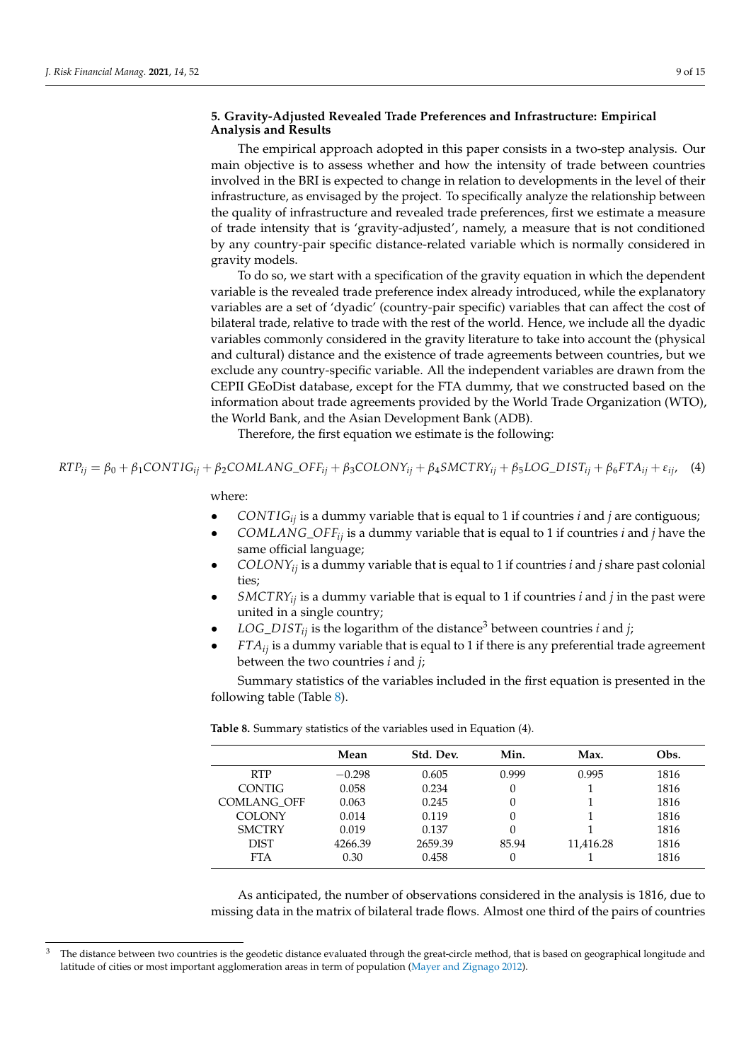## <span id="page-8-0"></span>**5. Gravity-Adjusted Revealed Trade Preferences and Infrastructure: Empirical Analysis and Results**

The empirical approach adopted in this paper consists in a two-step analysis. Our main objective is to assess whether and how the intensity of trade between countries involved in the BRI is expected to change in relation to developments in the level of their infrastructure, as envisaged by the project. To specifically analyze the relationship between the quality of infrastructure and revealed trade preferences, first we estimate a measure of trade intensity that is 'gravity-adjusted', namely, a measure that is not conditioned by any country-pair specific distance-related variable which is normally considered in gravity models.

To do so, we start with a specification of the gravity equation in which the dependent variable is the revealed trade preference index already introduced, while the explanatory variables are a set of 'dyadic' (country-pair specific) variables that can affect the cost of bilateral trade, relative to trade with the rest of the world. Hence, we include all the dyadic variables commonly considered in the gravity literature to take into account the (physical and cultural) distance and the existence of trade agreements between countries, but we exclude any country-specific variable. All the independent variables are drawn from the CEPII GEoDist database, except for the FTA dummy, that we constructed based on the information about trade agreements provided by the World Trade Organization (WTO), the World Bank, and the Asian Development Bank (ADB).

Therefore, the first equation we estimate is the following:

 $RTP_{ii} = \beta_0 + \beta_1 CONTIG_{ii} + \beta_2 COMLAND\_OFF_{ii} + \beta_3 COIONY_{ii} + \beta_4 SMCTRY_{ii} + \beta_5 LOG\_DIST_i + \beta_6 FTA_{ii} + \epsilon_{ii}$ , (4)

where:

- *CONT IGij* is a dummy variable that is equal to 1 if countries *i* and *j* are contiguous;
- *COMLANG*\_*OFFij* is a dummy variable that is equal to 1 if countries *i* and *j* have the same official language;
- *COLONYij* is a dummy variable that is equal to 1 if countries *i* and *j* share past colonial ties;
- *SMCTRYij* is a dummy variable that is equal to 1 if countries *i* and *j* in the past were united in a single country;
- *LOG DIST<sub>ij</sub>* is the logarithm of the distance<sup>3</sup> between countries *i* and *j*;
- $\bullet$  *FTA* $_{ii}$  is a dummy variable that is equal to 1 if there is any preferential trade agreement between the two countries *i* and *j*;

Summary statistics of the variables included in the first equation is presented in the following table (Table [8\)](#page-8-1).

|                    | Mean     | Std. Dev. | Min.  | Max.      | Obs. |
|--------------------|----------|-----------|-------|-----------|------|
| <b>RTP</b>         | $-0.298$ | 0.605     | 0.999 | 0.995     | 1816 |
| <b>CONTIG</b>      | 0.058    | 0.234     | 0     |           | 1816 |
| <b>COMLANG OFF</b> | 0.063    | 0.245     | 0     |           | 1816 |
| <b>COLONY</b>      | 0.014    | 0.119     | 0     |           | 1816 |
| <b>SMCTRY</b>      | 0.019    | 0.137     |       |           | 1816 |
| <b>DIST</b>        | 4266.39  | 2659.39   | 85.94 | 11,416.28 | 1816 |
| <b>FTA</b>         | 0.30     | 0.458     | 0     |           | 1816 |

<span id="page-8-1"></span>**Table 8.** Summary statistics of the variables used in Equation (4).

As anticipated, the number of observations considered in the analysis is 1816, due to missing data in the matrix of bilateral trade flows. Almost one third of the pairs of countries

<sup>&</sup>lt;sup>3</sup> The distance between two countries is the geodetic distance evaluated through the great-circle method, that is based on geographical longitude and latitude of cities or most important agglomeration areas in term of population [\(Mayer and Zignago](#page-13-30) [2012\)](#page-13-30).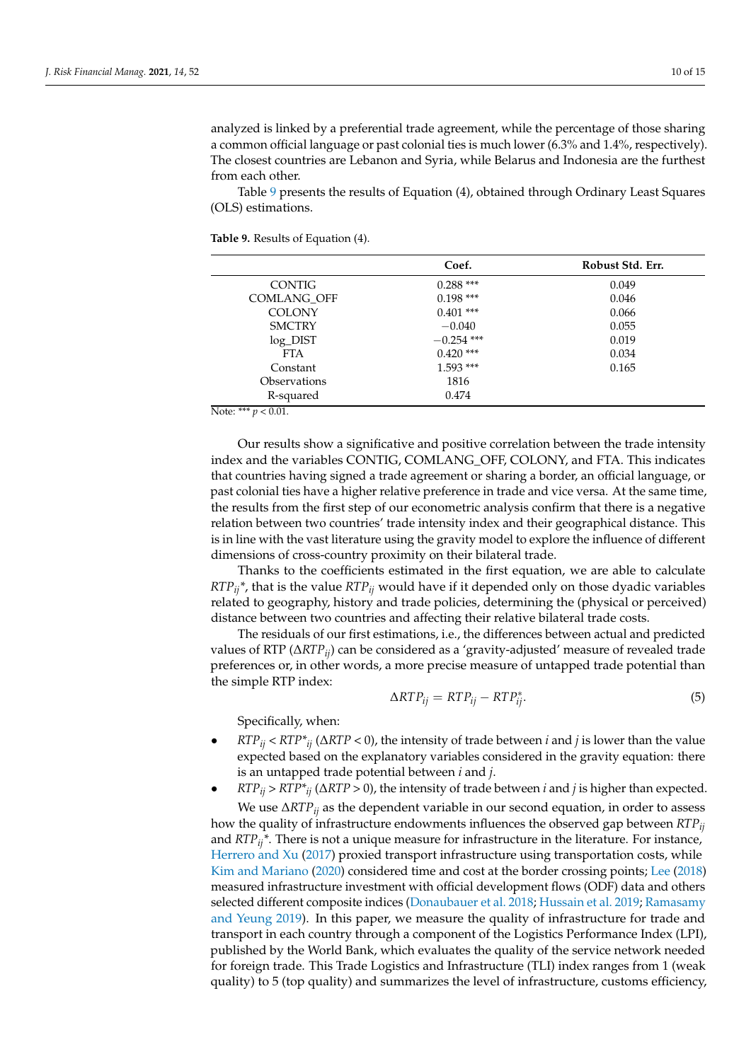analyzed is linked by a preferential trade agreement, while the percentage of those sharing a common official language or past colonial ties is much lower (6.3% and 1.4%, respectively). The closest countries are Lebanon and Syria, while Belarus and Indonesia are the furthest from each other.

Table [9](#page-9-0) presents the results of Equation (4), obtained through Ordinary Least Squares (OLS) estimations.

<span id="page-9-0"></span>**Table 9.** Results of Equation (4).

|                            | Coef.        | Robust Std. Err. |
|----------------------------|--------------|------------------|
| <b>CONTIG</b>              | $0.288***$   | 0.049            |
| <b>COMLANG OFF</b>         | $0.198$ ***  | 0.046            |
| <b>COLONY</b>              | $0.401$ ***  | 0.066            |
| <b>SMCTRY</b>              | $-0.040$     | 0.055            |
| $log$ _DIST                | $-0.254$ *** | 0.019            |
| FTA.                       | $0.420$ ***  | 0.034            |
| Constant                   | $1.593$ ***  | 0.165            |
| <i><b>Observations</b></i> | 1816         |                  |
| R-squared<br>.             | 0.474        |                  |

Note: \*\*\*  $p < 0.01$ .

Our results show a significative and positive correlation between the trade intensity index and the variables CONTIG, COMLANG\_OFF, COLONY, and FTA. This indicates that countries having signed a trade agreement or sharing a border, an official language, or past colonial ties have a higher relative preference in trade and vice versa. At the same time, the results from the first step of our econometric analysis confirm that there is a negative relation between two countries' trade intensity index and their geographical distance. This is in line with the vast literature using the gravity model to explore the influence of different dimensions of cross-country proximity on their bilateral trade.

Thanks to the coefficients estimated in the first equation, we are able to calculate *RTPij\**, that is the value *RTPij* would have if it depended only on those dyadic variables related to geography, history and trade policies, determining the (physical or perceived) distance between two countries and affecting their relative bilateral trade costs.

The residuals of our first estimations, i.e., the differences between actual and predicted values of RTP (∆*RTPij*) can be considered as a 'gravity-adjusted' measure of revealed trade preferences or, in other words, a more precise measure of untapped trade potential than the simple RTP index:

$$
\Delta RTP_{ij} = RTP_{ij} - RTP_{ij}^*.
$$
\n(5)

Specifically, when:

- $RTP_{ii}$  <  $RTP*_{ii}$  ( $\triangle RTP$  < 0), the intensity of trade between *i* and *j* is lower than the value expected based on the explanatory variables considered in the gravity equation: there is an untapped trade potential between *i* and *j*.
- *RTPij* > *RTP\*ij* (∆*RTP* > 0), the intensity of trade between *i* and *j* is higher than expected. We use ∆*RTPij* as the dependent variable in our second equation, in order to assess how the quality of infrastructure endowments influences the observed gap between *RTPij* and *RTPij\**. There is not a unique measure for infrastructure in the literature. For instance, [Herrero and Xu](#page-13-19) [\(2017\)](#page-13-19) proxied transport infrastructure using transportation costs, while [Kim and Mariano](#page-13-18) [\(2020\)](#page-13-18) considered time and cost at the border crossing points; [Lee](#page-13-17) [\(2018\)](#page-13-17) measured infrastructure investment with official development flows (ODF) data and others selected different composite indices [\(Donaubauer et al.](#page-13-16) [2018;](#page-13-16) [Hussain et al.](#page-13-20) [2019;](#page-13-20) [Ramasamy](#page-14-8) [and Yeung](#page-14-8) [2019\)](#page-14-8). In this paper, we measure the quality of infrastructure for trade and transport in each country through a component of the Logistics Performance Index (LPI), published by the World Bank, which evaluates the quality of the service network needed for foreign trade. This Trade Logistics and Infrastructure (TLI) index ranges from 1 (weak quality) to 5 (top quality) and summarizes the level of infrastructure, customs efficiency,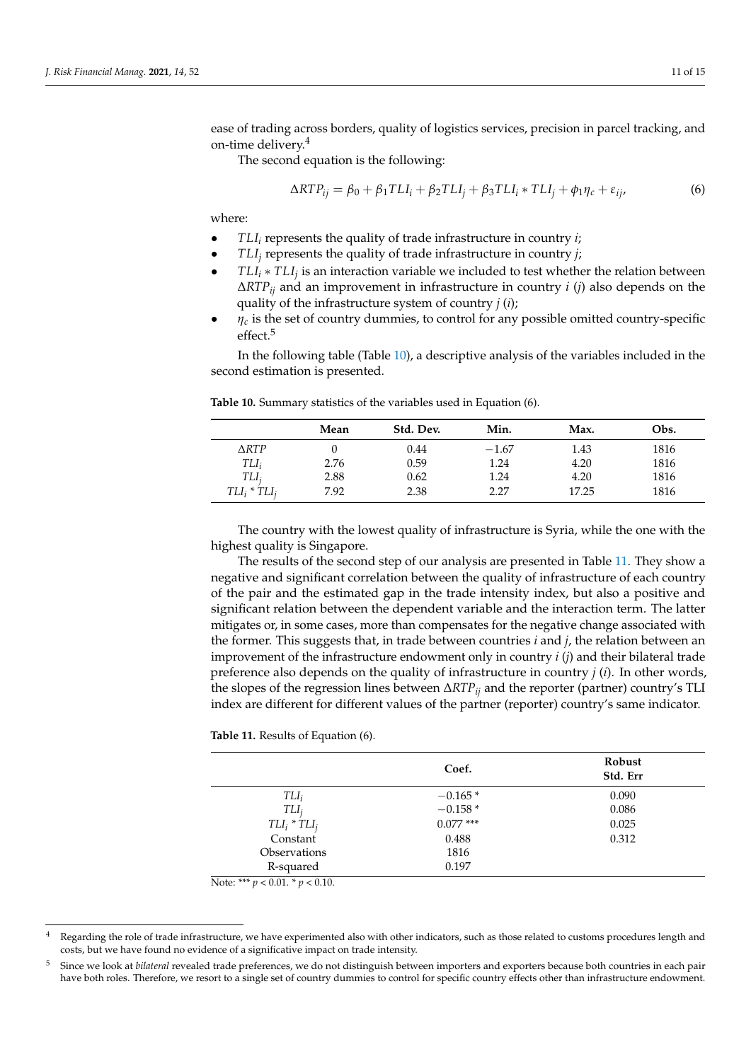ease of trading across borders, quality of logistics services, precision in parcel tracking, and on-time delivery.<sup>4</sup>

The second equation is the following:

$$
\Delta RTP_{ij} = \beta_0 + \beta_1 TLI_i + \beta_2 TLI_j + \beta_3 TLI_i * TLI_j + \phi_1 \eta_c + \varepsilon_{ij},
$$
\n(6)

where:

- *TLI<sup>i</sup>* represents the quality of trade infrastructure in country *i*;
- *TLI<sup>j</sup>* represents the quality of trade infrastructure in country *j*;
- *TLI<sup>i</sup>* ∗ *TLI<sup>j</sup>* is an interaction variable we included to test whether the relation between ∆*RTPij* and an improvement in infrastructure in country *i* (*j*) also depends on the quality of the infrastructure system of country *j* (*i*);
- $\eta_c$  is the set of country dummies, to control for any possible omitted country-specific effect.<sup>5</sup>

In the following table (Table [10\)](#page-10-0), a descriptive analysis of the variables included in the second estimation is presented.

|                 | Mean | Std. Dev. | Min.    | Max.  | Obs. |
|-----------------|------|-----------|---------|-------|------|
| $\triangle RTP$ |      | 0.44      | $-1.67$ | 1.43  | 1816 |
| $TLI_i$         | 2.76 | 0.59      | 1.24    | 4.20  | 1816 |
| $TLI_i$         | 2.88 | 0.62      | 1.24    | 4.20  | 1816 |
| $TLI_i * TLI_i$ | 7.92 | 2.38      | 2.27    | 17.25 | 1816 |

<span id="page-10-0"></span>**Table 10.** Summary statistics of the variables used in Equation (6).

The country with the lowest quality of infrastructure is Syria, while the one with the highest quality is Singapore.

The results of the second step of our analysis are presented in Table [11.](#page-10-1) They show a negative and significant correlation between the quality of infrastructure of each country of the pair and the estimated gap in the trade intensity index, but also a positive and significant relation between the dependent variable and the interaction term. The latter mitigates or, in some cases, more than compensates for the negative change associated with the former. This suggests that, in trade between countries *i* and *j*, the relation between an improvement of the infrastructure endowment only in country *i* (*j*) and their bilateral trade preference also depends on the quality of infrastructure in country *j* (*i*). In other words, the slopes of the regression lines between ∆*RTPij* and the reporter (partner) country's TLI index are different for different values of the partner (reporter) country's same indicator.

<span id="page-10-1"></span>

|  |  |  |  |  |  | <b>Table 11.</b> Results of Equation (6). |  |  |
|--|--|--|--|--|--|-------------------------------------------|--|--|
|--|--|--|--|--|--|-------------------------------------------|--|--|

|                 | Coef.       | Robust<br>Std. Err |
|-----------------|-------------|--------------------|
| $TLI_i$         | $-0.165*$   | 0.090              |
| $TLI_i$         | $-0.158*$   | 0.086              |
| $TLI_i * TLI_j$ | $0.077$ *** | 0.025              |
| Constant        | 0.488       | 0.312              |
| Observations    | 1816        |                    |
| R-squared       | 0.197       |                    |

Note: \*\*\*  $p < 0.01$ . \*  $p < 0.10$ .

Regarding the role of trade infrastructure, we have experimented also with other indicators, such as those related to customs procedures length and costs, but we have found no evidence of a significative impact on trade intensity.

<sup>5</sup> Since we look at *bilateral* revealed trade preferences, we do not distinguish between importers and exporters because both countries in each pair have both roles. Therefore, we resort to a single set of country dummies to control for specific country effects other than infrastructure endowment.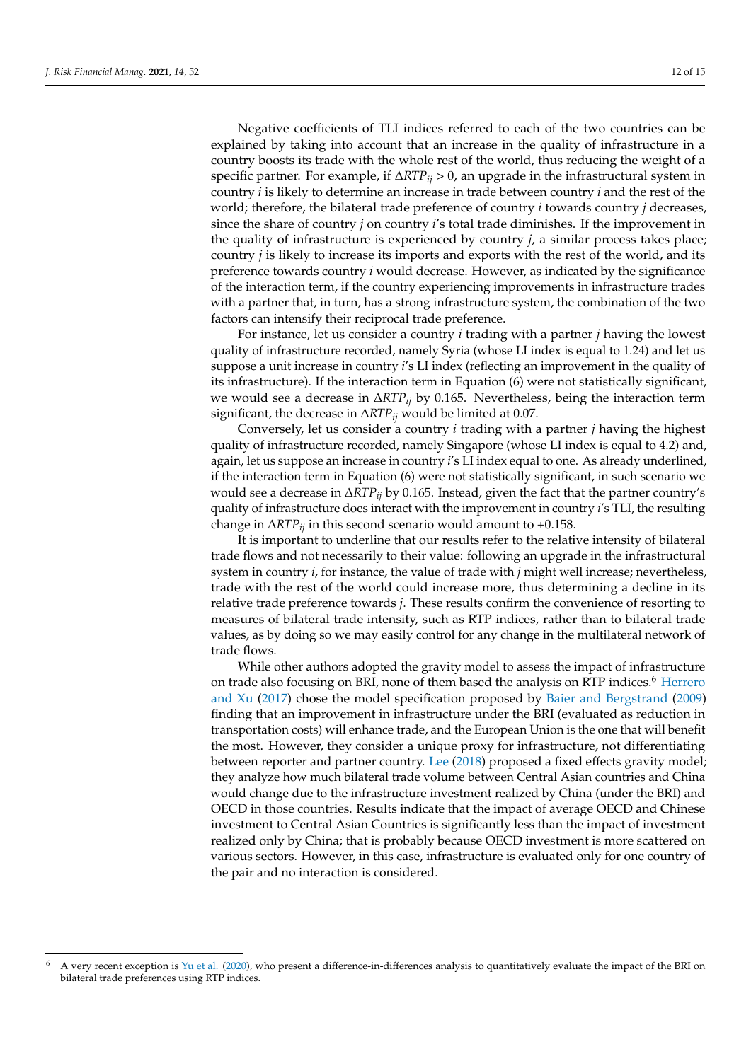Negative coefficients of TLI indices referred to each of the two countries can be explained by taking into account that an increase in the quality of infrastructure in a country boosts its trade with the whole rest of the world, thus reducing the weight of a specific partner. For example, if ∆*RTPij* > 0, an upgrade in the infrastructural system in country *i* is likely to determine an increase in trade between country *i* and the rest of the world; therefore, the bilateral trade preference of country *i* towards country *j* decreases, since the share of country *j* on country *i*'s total trade diminishes. If the improvement in the quality of infrastructure is experienced by country *j*, a similar process takes place; country *j* is likely to increase its imports and exports with the rest of the world, and its preference towards country *i* would decrease. However, as indicated by the significance of the interaction term, if the country experiencing improvements in infrastructure trades with a partner that, in turn, has a strong infrastructure system, the combination of the two factors can intensify their reciprocal trade preference.

For instance, let us consider a country *i* trading with a partner *j* having the lowest quality of infrastructure recorded, namely Syria (whose LI index is equal to 1.24) and let us suppose a unit increase in country *i*'s LI index (reflecting an improvement in the quality of its infrastructure). If the interaction term in Equation (6) were not statistically significant, we would see a decrease in ∆*RTPij* by 0.165. Nevertheless, being the interaction term significant, the decrease in ∆*RTPij* would be limited at 0.07.

Conversely, let us consider a country *i* trading with a partner *j* having the highest quality of infrastructure recorded, namely Singapore (whose LI index is equal to 4.2) and, again, let us suppose an increase in country *i*'s LI index equal to one. As already underlined, if the interaction term in Equation (6) were not statistically significant, in such scenario we would see a decrease in ∆*RTPij* by 0.165. Instead, given the fact that the partner country's quality of infrastructure does interact with the improvement in country *i*'s TLI, the resulting change in ∆*RTPij* in this second scenario would amount to +0.158.

It is important to underline that our results refer to the relative intensity of bilateral trade flows and not necessarily to their value: following an upgrade in the infrastructural system in country *i*, for instance, the value of trade with *j* might well increase; nevertheless, trade with the rest of the world could increase more, thus determining a decline in its relative trade preference towards *j*. These results confirm the convenience of resorting to measures of bilateral trade intensity, such as RTP indices, rather than to bilateral trade values, as by doing so we may easily control for any change in the multilateral network of trade flows.

While other authors adopted the gravity model to assess the impact of infrastructure on trade also focusing on BRI, none of them based the analysis on RTP indices.<sup>6</sup> [Herrero](#page-13-19) [and Xu](#page-13-19) [\(2017\)](#page-13-19) chose the model specification proposed by [Baier and Bergstrand](#page-12-4) [\(2009\)](#page-12-4) finding that an improvement in infrastructure under the BRI (evaluated as reduction in transportation costs) will enhance trade, and the European Union is the one that will benefit the most. However, they consider a unique proxy for infrastructure, not differentiating between reporter and partner country. [Lee](#page-13-17) [\(2018\)](#page-13-17) proposed a fixed effects gravity model; they analyze how much bilateral trade volume between Central Asian countries and China would change due to the infrastructure investment realized by China (under the BRI) and OECD in those countries. Results indicate that the impact of average OECD and Chinese investment to Central Asian Countries is significantly less than the impact of investment realized only by China; that is probably because OECD investment is more scattered on various sectors. However, in this case, infrastructure is evaluated only for one country of the pair and no interaction is considered.

 $6$  A very recent exception is [Yu et al.](#page-14-9) [\(2020\)](#page-14-9), who present a difference-in-differences analysis to quantitatively evaluate the impact of the BRI on bilateral trade preferences using RTP indices.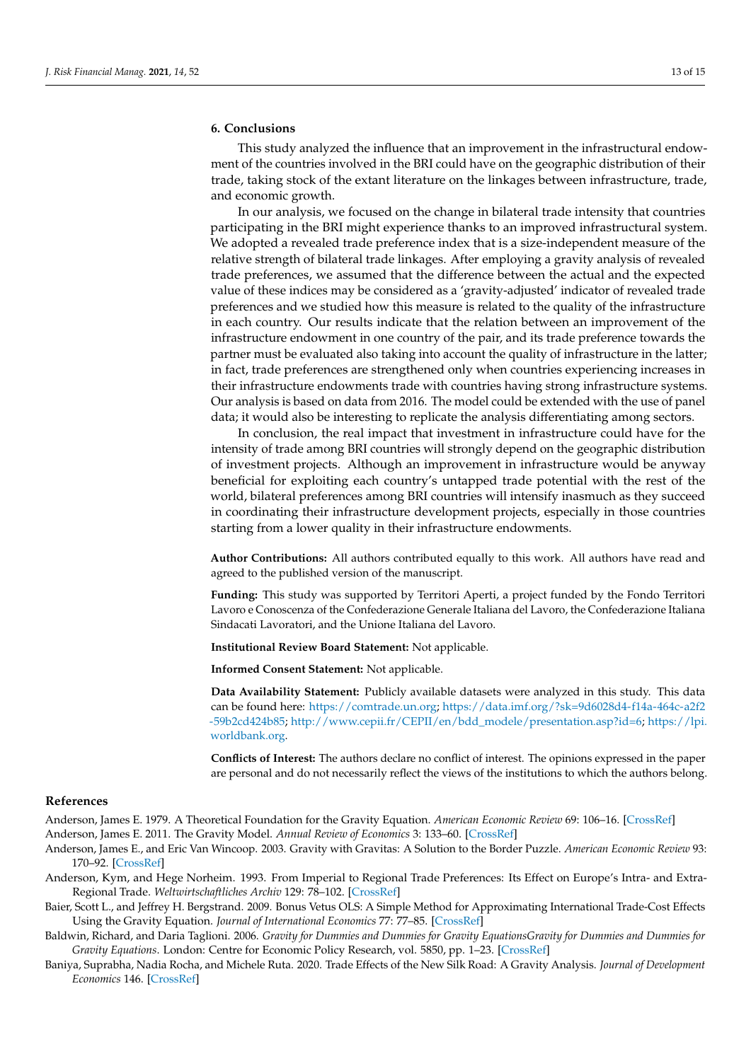### **6. Conclusions**

This study analyzed the influence that an improvement in the infrastructural endowment of the countries involved in the BRI could have on the geographic distribution of their trade, taking stock of the extant literature on the linkages between infrastructure, trade, and economic growth.

In our analysis, we focused on the change in bilateral trade intensity that countries participating in the BRI might experience thanks to an improved infrastructural system. We adopted a revealed trade preference index that is a size-independent measure of the relative strength of bilateral trade linkages. After employing a gravity analysis of revealed trade preferences, we assumed that the difference between the actual and the expected value of these indices may be considered as a 'gravity-adjusted' indicator of revealed trade preferences and we studied how this measure is related to the quality of the infrastructure in each country. Our results indicate that the relation between an improvement of the infrastructure endowment in one country of the pair, and its trade preference towards the partner must be evaluated also taking into account the quality of infrastructure in the latter; in fact, trade preferences are strengthened only when countries experiencing increases in their infrastructure endowments trade with countries having strong infrastructure systems. Our analysis is based on data from 2016. The model could be extended with the use of panel data; it would also be interesting to replicate the analysis differentiating among sectors.

In conclusion, the real impact that investment in infrastructure could have for the intensity of trade among BRI countries will strongly depend on the geographic distribution of investment projects. Although an improvement in infrastructure would be anyway beneficial for exploiting each country's untapped trade potential with the rest of the world, bilateral preferences among BRI countries will intensify inasmuch as they succeed in coordinating their infrastructure development projects, especially in those countries starting from a lower quality in their infrastructure endowments.

**Author Contributions:** All authors contributed equally to this work. All authors have read and agreed to the published version of the manuscript.

**Funding:** This study was supported by Territori Aperti, a project funded by the Fondo Territori Lavoro e Conoscenza of the Confederazione Generale Italiana del Lavoro, the Confederazione Italiana Sindacati Lavoratori, and the Unione Italiana del Lavoro.

**Institutional Review Board Statement:** Not applicable.

**Informed Consent Statement:** Not applicable.

**Data Availability Statement:** Publicly available datasets were analyzed in this study. This data can be found here: [https://comtrade.un.org;](https://comtrade.un.org) [https://data.imf.org/?sk=9d6028d4-f14a-464c-a2f2](https://data.imf.org/?sk=9d6028d4-f14a-464c-a2f2-59b2cd424b85) [-59b2cd424b85;](https://data.imf.org/?sk=9d6028d4-f14a-464c-a2f2-59b2cd424b85) [http://www.cepii.fr/CEPII/en/bdd\\_modele/presentation.asp?id=6;](http://www.cepii.fr/CEPII/en/bdd_modele/presentation.asp?id=6) [https://lpi.](https://lpi.worldbank.org) [worldbank.org.](https://lpi.worldbank.org)

**Conflicts of Interest:** The authors declare no conflict of interest. The opinions expressed in the paper are personal and do not necessarily reflect the views of the institutions to which the authors belong.

#### **References**

<span id="page-12-1"></span>Anderson, James E. 1979. A Theoretical Foundation for the Gravity Equation. *American Economic Review* 69: 106–16. [\[CrossRef\]](http://doi.org/10.2307/1802501)

- <span id="page-12-5"></span>Anderson, James E. 2011. The Gravity Model. *Annual Review of Economics* 3: 133–60. [\[CrossRef\]](http://doi.org/10.1146/annurev-economics-111809-125114)
- <span id="page-12-2"></span>Anderson, James E., and Eric Van Wincoop. 2003. Gravity with Gravitas: A Solution to the Border Puzzle. *American Economic Review* 93: 170–92. [\[CrossRef\]](http://doi.org/10.1257/000282803321455214)
- <span id="page-12-6"></span>Anderson, Kym, and Hege Norheim. 1993. From Imperial to Regional Trade Preferences: Its Effect on Europe's Intra- and Extra-Regional Trade. *Weltwirtschaftliches Archiv* 129: 78–102. [\[CrossRef\]](http://doi.org/10.1007/BF02707488)
- <span id="page-12-4"></span>Baier, Scott L., and Jeffrey H. Bergstrand. 2009. Bonus Vetus OLS: A Simple Method for Approximating International Trade-Cost Effects Using the Gravity Equation. *Journal of International Economics* 77: 77–85. [\[CrossRef\]](http://doi.org/10.1016/j.jinteco.2008.10.004)
- <span id="page-12-3"></span>Baldwin, Richard, and Daria Taglioni. 2006. *Gravity for Dummies and Dummies for Gravity EquationsGravity for Dummies and Dummies for Gravity Equations*. London: Centre for Economic Policy Research, vol. 5850, pp. 1–23. [\[CrossRef\]](http://doi.org/10.3386/w12516)
- <span id="page-12-0"></span>Baniya, Suprabha, Nadia Rocha, and Michele Ruta. 2020. Trade Effects of the New Silk Road: A Gravity Analysis. *Journal of Development Economics* 146. [\[CrossRef\]](http://doi.org/10.1016/j.jdeveco.2020.102467)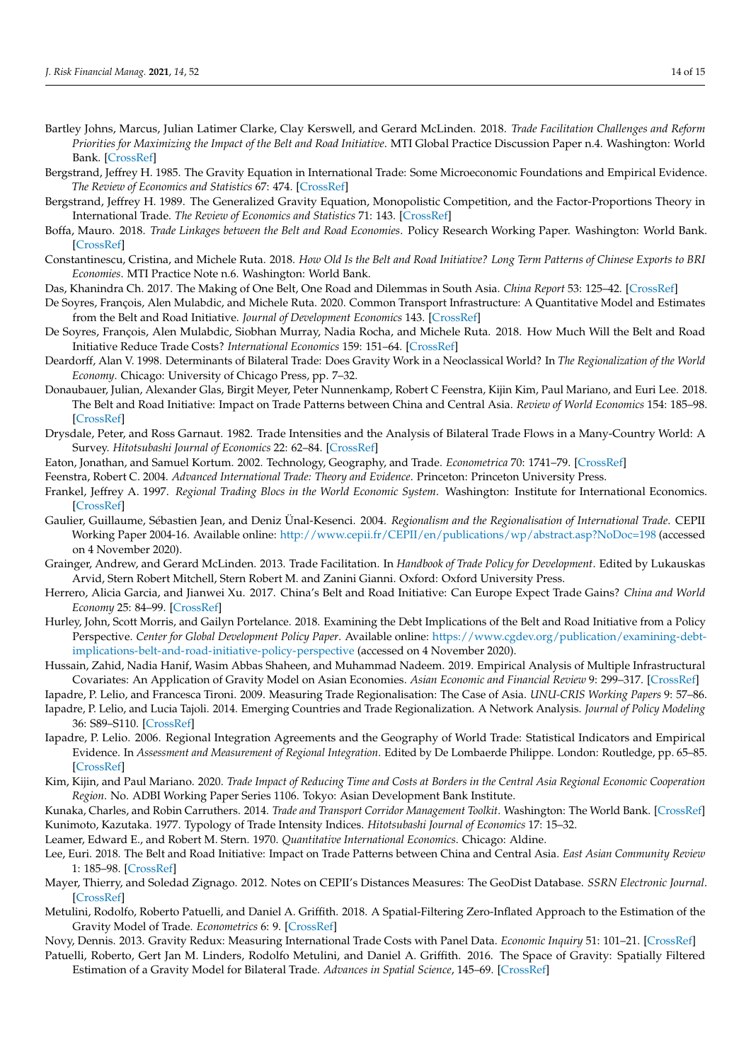- <span id="page-13-5"></span>Bartley Johns, Marcus, Julian Latimer Clarke, Clay Kerswell, and Gerard McLinden. 2018. *Trade Facilitation Challenges and Reform Priorities for Maximizing the Impact of the Belt and Road Initiative*. MTI Global Practice Discussion Paper n.4. Washington: World Bank. [\[CrossRef\]](http://doi.org/10.1596/30477)
- <span id="page-13-9"></span>Bergstrand, Jeffrey H. 1985. The Gravity Equation in International Trade: Some Microeconomic Foundations and Empirical Evidence. *The Review of Economics and Statistics* 67: 474. [\[CrossRef\]](http://doi.org/10.2307/1925976)
- <span id="page-13-10"></span>Bergstrand, Jeffrey H. 1989. The Generalized Gravity Equation, Monopolistic Competition, and the Factor-Proportions Theory in International Trade. *The Review of Economics and Statistics* 71: 143. [\[CrossRef\]](http://doi.org/10.2307/1928061)
- <span id="page-13-7"></span>Boffa, Mauro. 2018. *Trade Linkages between the Belt and Road Economies*. Policy Research Working Paper. Washington: World Bank. [\[CrossRef\]](http://doi.org/10.1596/1813-9450-8423)
- <span id="page-13-6"></span>Constantinescu, Cristina, and Michele Ruta. 2018. *How Old Is the Belt and Road Initiative? Long Term Patterns of Chinese Exports to BRI Economies*. MTI Practice Note n.6. Washington: World Bank.
- <span id="page-13-0"></span>Das, Khanindra Ch. 2017. The Making of One Belt, One Road and Dilemmas in South Asia. *China Report* 53: 125–42. [\[CrossRef\]](http://doi.org/10.1177/0009445517696624)
- <span id="page-13-8"></span>De Soyres, François, Alen Mulabdic, and Michele Ruta. 2020. Common Transport Infrastructure: A Quantitative Model and Estimates from the Belt and Road Initiative. *Journal of Development Economics* 143. [\[CrossRef\]](http://doi.org/10.1016/j.jdeveco.2019.102415)
- <span id="page-13-3"></span>De Soyres, François, Alen Mulabdic, Siobhan Murray, Nadia Rocha, and Michele Ruta. 2018. How Much Will the Belt and Road Initiative Reduce Trade Costs? *International Economics* 159: 151–64. [\[CrossRef\]](http://doi.org/10.1016/j.inteco.2019.07.003)
- <span id="page-13-11"></span>Deardorff, Alan V. 1998. Determinants of Bilateral Trade: Does Gravity Work in a Neoclassical World? In *The Regionalization of the World Economy*. Chicago: University of Chicago Press, pp. 7–32.
- <span id="page-13-16"></span>Donaubauer, Julian, Alexander Glas, Birgit Meyer, Peter Nunnenkamp, Robert C Feenstra, Kijin Kim, Paul Mariano, and Euri Lee. 2018. The Belt and Road Initiative: Impact on Trade Patterns between China and Central Asia. *Review of World Economics* 154: 185–98. [\[CrossRef\]](http://doi.org/10.1007/s10290-018-0322-8)
- <span id="page-13-28"></span>Drysdale, Peter, and Ross Garnaut. 1982. Trade Intensities and the Analysis of Bilateral Trade Flows in a Many-Country World: A Survey. *Hitotsubashi Journal of Economics* 22: 62–84. [\[CrossRef\]](http://doi.org/10.15057/7939)
- <span id="page-13-12"></span>Eaton, Jonathan, and Samuel Kortum. 2002. Technology, Geography, and Trade. *Econometrica* 70: 1741–79. [\[CrossRef\]](http://doi.org/10.1111/1468-0262.00352)
- <span id="page-13-13"></span>Feenstra, Robert C. 2004. *Advanced International Trade: Theory and Evidence*. Princeton: Princeton University Press.
- <span id="page-13-26"></span>Frankel, Jeffrey A. 1997. *Regional Trading Blocs in the World Economic System*. Washington: Institute for International Economics. [\[CrossRef\]](http://doi.org/10.5860/choice.35-4604)
- <span id="page-13-29"></span>Gaulier, Guillaume, Sébastien Jean, and Deniz Ünal-Kesenci. 2004. *Regionalism and the Regionalisation of International Trade*. CEPII Working Paper 2004-16. Available online: <http://www.cepii.fr/CEPII/en/publications/wp/abstract.asp?NoDoc=198> (accessed on 4 November 2020).
- <span id="page-13-4"></span>Grainger, Andrew, and Gerard McLinden. 2013. Trade Facilitation. In *Handbook of Trade Policy for Development*. Edited by Lukauskas Arvid, Stern Robert Mitchell, Stern Robert M. and Zanini Gianni. Oxford: Oxford University Press.
- <span id="page-13-19"></span>Herrero, Alicia Garcia, and Jianwei Xu. 2017. China's Belt and Road Initiative: Can Europe Expect Trade Gains? *China and World Economy* 25: 84–99. [\[CrossRef\]](http://doi.org/10.1111/cwe.12222)
- <span id="page-13-2"></span>Hurley, John, Scott Morris, and Gailyn Portelance. 2018. Examining the Debt Implications of the Belt and Road Initiative from a Policy Perspective. *Center for Global Development Policy Paper*. Available online: [https://www.cgdev.org/publication/examining-debt](https://www.cgdev.org/publication/examining-debt-implications-belt-and-road-initiative-policy-perspective)[implications-belt-and-road-initiative-policy-perspective](https://www.cgdev.org/publication/examining-debt-implications-belt-and-road-initiative-policy-perspective) (accessed on 4 November 2020).
- <span id="page-13-20"></span>Hussain, Zahid, Nadia Hanif, Wasim Abbas Shaheen, and Muhammad Nadeem. 2019. Empirical Analysis of Multiple Infrastructural Covariates: An Application of Gravity Model on Asian Economies. *Asian Economic and Financial Review* 9: 299–317. [\[CrossRef\]](http://doi.org/10.18488/journal.aefr.2019.93.299.317)

<span id="page-13-23"></span>Iapadre, P. Lelio, and Francesca Tironi. 2009. Measuring Trade Regionalisation: The Case of Asia. *UNU-CRIS Working Papers* 9: 57–86.

- <span id="page-13-24"></span>Iapadre, P. Lelio, and Lucia Tajoli. 2014. Emerging Countries and Trade Regionalization. A Network Analysis. *Journal of Policy Modeling* 36: S89–S110. [\[CrossRef\]](http://doi.org/10.1016/j.jpolmod.2013.10.010)
- <span id="page-13-21"></span>Iapadre, P. Lelio. 2006. Regional Integration Agreements and the Geography of World Trade: Statistical Indicators and Empirical Evidence. In *Assessment and Measurement of Regional Integration*. Edited by De Lombaerde Philippe. London: Routledge, pp. 65–85. [\[CrossRef\]](http://doi.org/10.4324/9780203087893)
- <span id="page-13-18"></span>Kim, Kijin, and Paul Mariano. 2020. *Trade Impact of Reducing Time and Costs at Borders in the Central Asia Regional Economic Cooperation Region*. No. ADBI Working Paper Series 1106. Tokyo: Asian Development Bank Institute.

<span id="page-13-22"></span><span id="page-13-1"></span>Kunaka, Charles, and Robin Carruthers. 2014. *Trade and Transport Corridor Management Toolkit*. Washington: The World Bank. [\[CrossRef\]](http://doi.org/10.1596/978-1-4648-0143-3) Kunimoto, Kazutaka. 1977. Typology of Trade Intensity Indices. *Hitotsubashi Journal of Economics* 17: 15–32.

- <span id="page-13-27"></span>Leamer, Edward E., and Robert M. Stern. 1970. *Quantitative International Economics*. Chicago: Aldine.
- <span id="page-13-17"></span>Lee, Euri. 2018. The Belt and Road Initiative: Impact on Trade Patterns between China and Central Asia. *East Asian Community Review* 1: 185–98. [\[CrossRef\]](http://doi.org/10.1057/s42215-019-00015-3)
- <span id="page-13-30"></span>Mayer, Thierry, and Soledad Zignago. 2012. Notes on CEPII's Distances Measures: The GeoDist Database. *SSRN Electronic Journal*. [\[CrossRef\]](http://doi.org/10.2139/ssrn.1994531)
- <span id="page-13-15"></span>Metulini, Rodolfo, Roberto Patuelli, and Daniel A. Griffith. 2018. A Spatial-Filtering Zero-Inflated Approach to the Estimation of the Gravity Model of Trade. *Econometrics* 6: 9. [\[CrossRef\]](http://doi.org/10.3390/econometrics6010009)
- <span id="page-13-25"></span>Novy, Dennis. 2013. Gravity Redux: Measuring International Trade Costs with Panel Data. *Economic Inquiry* 51: 101–21. [\[CrossRef\]](http://doi.org/10.1111/j.1465-7295.2011.00439.x)

<span id="page-13-14"></span>Patuelli, Roberto, Gert Jan M. Linders, Rodolfo Metulini, and Daniel A. Griffith. 2016. The Space of Gravity: Spatially Filtered Estimation of a Gravity Model for Bilateral Trade. *Advances in Spatial Science*, 145–69. [\[CrossRef\]](http://doi.org/10.1007/978-3-319-30196-9_8)